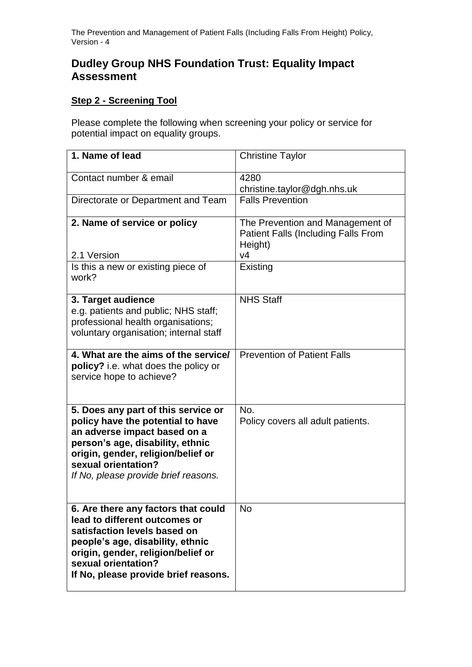The Prevention and Management of Patient Falls (Including Falls From Height) Policy, Version - 4

## **Dudley Group NHS Foundation Trust: Equality Impact Assessment**

## **Step 2 - Screening Tool**

Please complete the following when screening your policy or service for potential impact on equality groups.

| 1. Name of lead                                                                                                                                                                                                                                   | <b>Christine Taylor</b>                                                                   |
|---------------------------------------------------------------------------------------------------------------------------------------------------------------------------------------------------------------------------------------------------|-------------------------------------------------------------------------------------------|
| Contact number & email                                                                                                                                                                                                                            | 4280<br>christine.taylor@dgh.nhs.uk                                                       |
| Directorate or Department and Team                                                                                                                                                                                                                | <b>Falls Prevention</b>                                                                   |
| 2. Name of service or policy                                                                                                                                                                                                                      | The Prevention and Management of<br><b>Patient Falls (Including Falls From</b><br>Height) |
| 2.1 Version                                                                                                                                                                                                                                       | V <sub>4</sub>                                                                            |
| Is this a new or existing piece of<br>work?                                                                                                                                                                                                       | Existing                                                                                  |
| 3. Target audience<br>e.g. patients and public; NHS staff;<br>professional health organisations;<br>voluntary organisation; internal staff                                                                                                        | <b>NHS Staff</b>                                                                          |
| 4. What are the aims of the service/<br>policy? i.e. what does the policy or<br>service hope to achieve?                                                                                                                                          | <b>Prevention of Patient Falls</b>                                                        |
| 5. Does any part of this service or<br>policy have the potential to have<br>an adverse impact based on a<br>person's age, disability, ethnic<br>origin, gender, religion/belief or<br>sexual orientation?<br>If No, please provide brief reasons. | No.<br>Policy covers all adult patients.                                                  |
| 6. Are there any factors that could<br>lead to different outcomes or<br>satisfaction levels based on<br>people's age, disability, ethnic<br>origin, gender, religion/belief or<br>sexual orientation?<br>If No, please provide brief reasons.     | <b>No</b>                                                                                 |